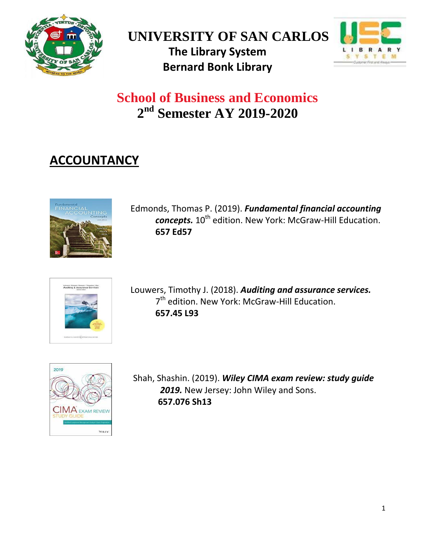





## **School of Business and Economics 2 nd Semester AY 2019-2020**

## **ACCOUNTANCY**



Edmonds, Thomas P. (2019). *[Fundamental financial accounting](http://tlc.library.usc.edu.ph:8080/#section=resource&resourceid=463928412¤tIndex=0&view=fullDetailsDetailsTab) concepts.*  $10^{th}$  edition. New York: McGraw-Hill Education. **657 Ed57**



Louwers, Timothy J. (2018). *[Auditing and assurance services.](http://tlc.library.usc.edu.ph:8080/#section=resource&resourceid=459246239¤tIndex=0&view=fullDetailsDetailsTab)* 7<sup>th</sup> edition. New York: McGraw-Hill Education. **657.45 L93**



Shah, Shashin. (2019). *[Wiley CIMA exam review: study guide](http://tlc.library.usc.edu.ph:8080/#section=resource&resourceid=448779632¤tIndex=0&view=fullDetailsDetailsTab)* 2019. New Jersey: John Wiley and Sons. **657.076 Sh13**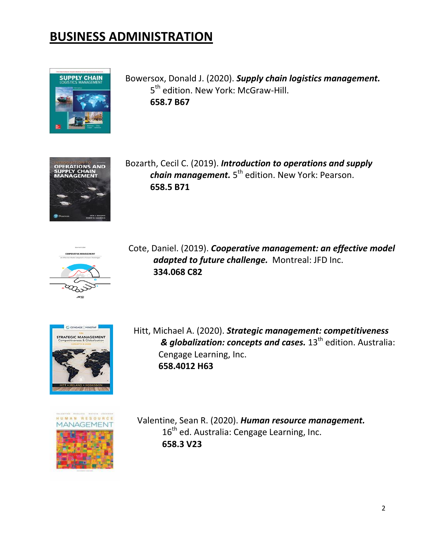## **BUSINESS ADMINISTRATION**



Bowersox, Donald J. (2020). *[Supply chain logistics management.](http://tlc.library.usc.edu.ph:8080/#section=resource&resourceid=498591489¤tIndex=0&view=fullDetailsDetailsTab)*  5<sup>th</sup> edition. New York: McGraw-Hill. **658.7 B67**



Bozarth, Cecil C. (2019). *[Introduction to operations and supply](http://tlc.library.usc.edu.ph:8080/#section=resource&resourceid=502181927¤tIndex=0&view=fullDetailsDetailsTab) [chain management.](http://tlc.library.usc.edu.ph:8080/#section=resource&resourceid=502181927¤tIndex=0&view=fullDetailsDetailsTab)* 5<sup>th</sup> edition. New York: Pearson. **658.5 B71**



Cote, Daniel. (2019). *[Cooperative management: an effective model](http://tlc.library.usc.edu.ph:8080/#section=resource&resourceid=515302829¤tIndex=0&view=fullDetailsDetailsTab) [adapted to future challenge.](http://tlc.library.usc.edu.ph:8080/#section=resource&resourceid=515302829¤tIndex=0&view=fullDetailsDetailsTab)* Montreal: JFD Inc. **334.068 C82**



Hitt, Michael A. (2020). *[Strategic management: competitiveness](http://tlc.library.usc.edu.ph:8080/#section=resource&resourceid=502181555¤tIndex=0&view=fullDetailsDetailsTab) [& globalization: concepts and cases.](http://tlc.library.usc.edu.ph:8080/#section=resource&resourceid=502181555¤tIndex=0&view=fullDetailsDetailsTab)* 13<sup>th</sup> edition. Australia: Cengage Learning, Inc. **658.4012 H63**



Valentine, Sean R. (2020). *[Human resource management.](http://tlc.library.usc.edu.ph:8080/#section=resource&resourceid=498815818¤tIndex=0&view=fullDetailsDetailsTab)* 16<sup>th</sup> ed. Australia: Cengage Learning, Inc. **658.3 V23**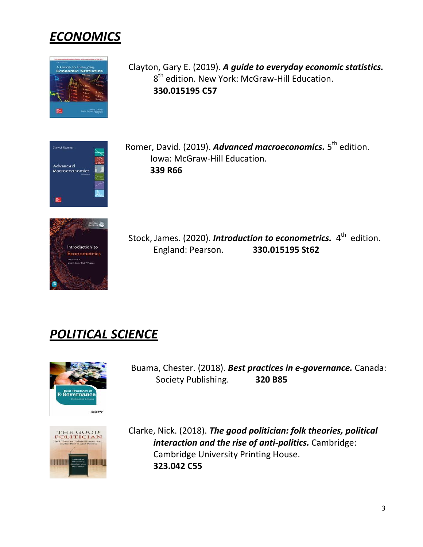



```
Clayton, Gary E. (2019). A guide to everyday economic statistics.
8<sup>th</sup> edition. New York: McGraw-Hill Education.
 330.015195 C57
```

| David Romer                                     |  |
|-------------------------------------------------|--|
| Advanced<br>Macroeconomics<br><b>FRA Europe</b> |  |
|                                                 |  |

Romer, David. (2019). [Advanced macroeconomics.](http://tlc.library.usc.edu.ph:8080/#section=resource&resourceid=515303082¤tIndex=1&view=fullDetailsDetailsTab) 5<sup>th</sup> edition. Iowa: McGraw-Hill Education. **339 R66**



Stock, James. (2020). *[Introduction to econometrics.](http://tlc.library.usc.edu.ph:8080/#section=resource&resourceid=499276721¤tIndex=0&view=fullDetailsDetailsTab)* 4<sup>th</sup> edition. England: Pearson. **330.015195 St62**

## *POLITICAL SCIENCE*



Buama, Chester. (2018). *[Best practices in e-governance.](http://tlc.library.usc.edu.ph:8080/#section=resource&resourceid=473919333¤tIndex=0&view=fullDetailsDetailsTab)* Canada: Society Publishing. **320 B85**



Clarke, Nick. (2018). *[The good politician: folk theories, political](http://tlc.library.usc.edu.ph:8080/#section=resource&resourceid=474558191¤tIndex=0&view=fullDetailsDetailsTab)  [interaction and the rise of anti-politics.](http://tlc.library.usc.edu.ph:8080/#section=resource&resourceid=474558191¤tIndex=0&view=fullDetailsDetailsTab)* Cambridge: Cambridge University Printing House. **323.042 C55**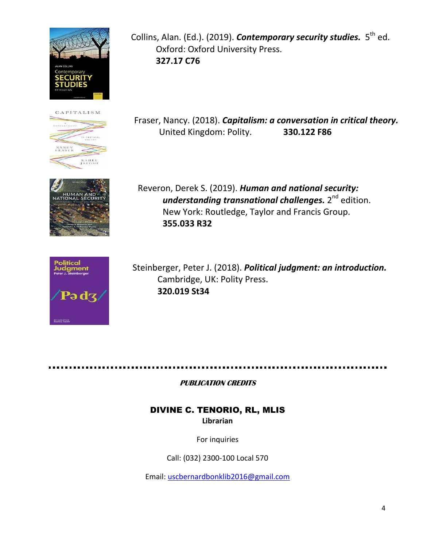





Collins, Alan. (Ed.). (2019). *Contemporary security studies*. 5<sup>th</sup> ed. Oxford: Oxford University Press. **327.17 C76**

Fraser, Nancy. (2018). *[Capitalism: a conversation in critical theory.](http://tlc.library.usc.edu.ph:8080/#section=resource&resourceid=505349207¤tIndex=0&view=fullDetailsDetailsTab)* United Kingdom: Polity. **330.122 F86**

Reveron, Derek S. (2019). *[Human and national security:](http://tlc.library.usc.edu.ph:8080/#section=resource&resourceid=497468925¤tIndex=0&view=fullDetailsDetailsTab)  understanding [transnational challenges.](http://tlc.library.usc.edu.ph:8080/#section=resource&resourceid=497468925¤tIndex=0&view=fullDetailsDetailsTab)* 2<sup>nd</sup> edition. New York: Routledge, Taylor and Francis Group. **355.033 R32**



Steinberger, Peter J. (2018). *[Political judgment: an introduction.](http://tlc.library.usc.edu.ph:8080/#section=resource&resourceid=472872891¤tIndex=0&view=fullDetailsDetailsTab)*  Cambridge, UK: Polity Press. **320.019 St34**

**PUBLICATION CREDITS** 

DIVINE C. TENORIO, RL, MLIS **Librarian**

For inquiries

Call: (032) 2300-100 Local 570

Email: [uscbernardbonklib2016@gmail.com](mailto:uscbernardbonklib2016@gmail.com)